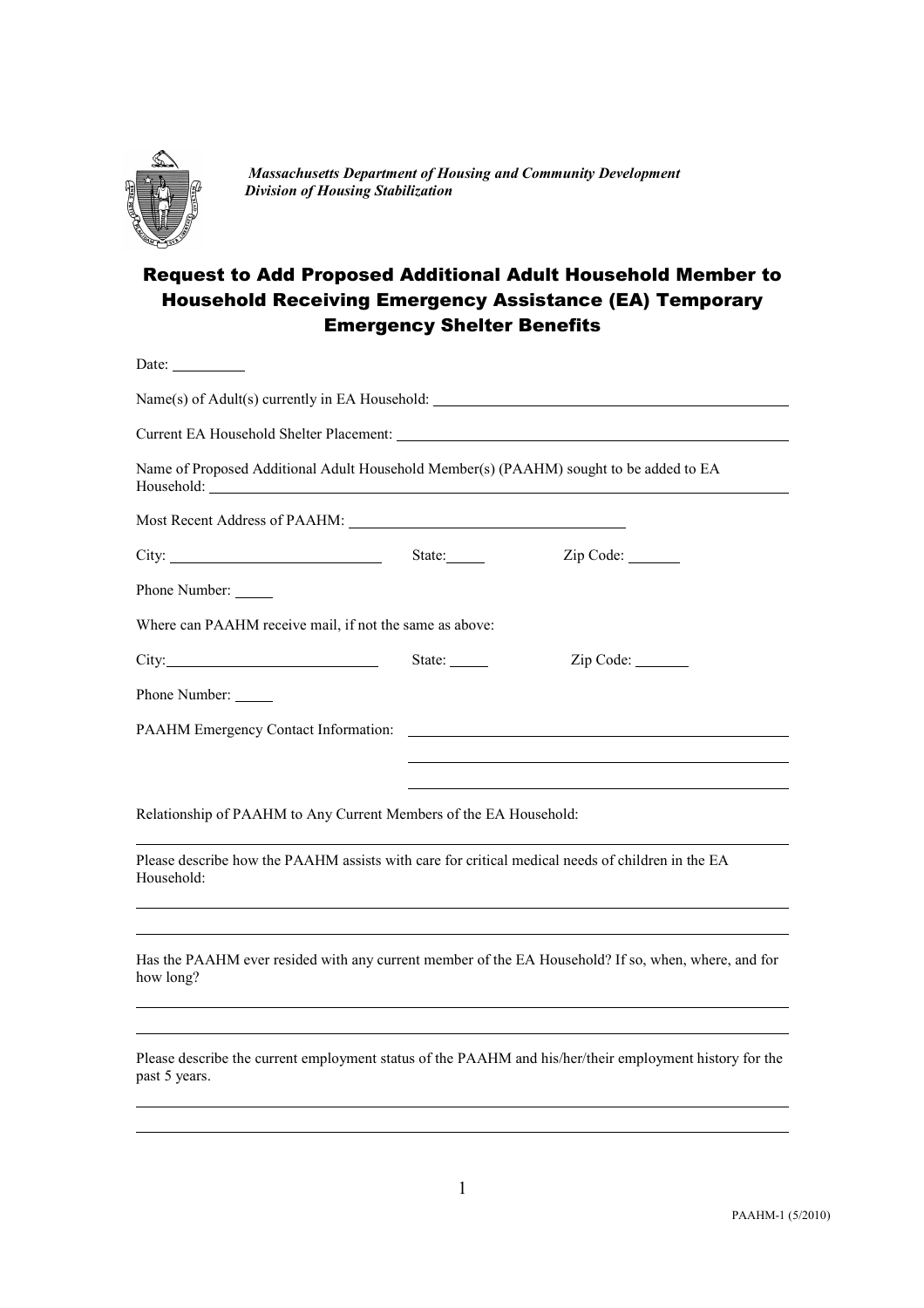

*Massachusetts Department of Housing and Community Development Division of Housing Stabilization*

## Request to Add Proposed Additional Adult Household Member to Household Receiving Emergency Assistance (EA) Temporary Emergency Shelter Benefits

|                                                                              | Name of Proposed Additional Adult Household Member(s) (PAAHM) sought to be added to EA                                                                                                                                                     |
|------------------------------------------------------------------------------|--------------------------------------------------------------------------------------------------------------------------------------------------------------------------------------------------------------------------------------------|
|                                                                              |                                                                                                                                                                                                                                            |
|                                                                              | $Zip Code: \_\_$                                                                                                                                                                                                                           |
|                                                                              |                                                                                                                                                                                                                                            |
|                                                                              |                                                                                                                                                                                                                                            |
| State: $\frac{1}{\sqrt{1-\frac{1}{2}} \cdot \frac{1}{\sqrt{1-\frac{1}{2}}}}$ | Zip Code:                                                                                                                                                                                                                                  |
|                                                                              |                                                                                                                                                                                                                                            |
|                                                                              |                                                                                                                                                                                                                                            |
|                                                                              |                                                                                                                                                                                                                                            |
|                                                                              |                                                                                                                                                                                                                                            |
|                                                                              | Please describe how the PAAHM assists with care for critical medical needs of children in the EA                                                                                                                                           |
|                                                                              |                                                                                                                                                                                                                                            |
|                                                                              | Name(s) of Adult(s) currently in EA Household: __________________________________<br>City: State:<br>Where can PAAHM receive mail, if not the same as above:<br>City:<br>Relationship of PAAHM to Any Current Members of the EA Household: |

Please describe the current employment status of the PAAHM and his/her/their employment history for the past 5 years.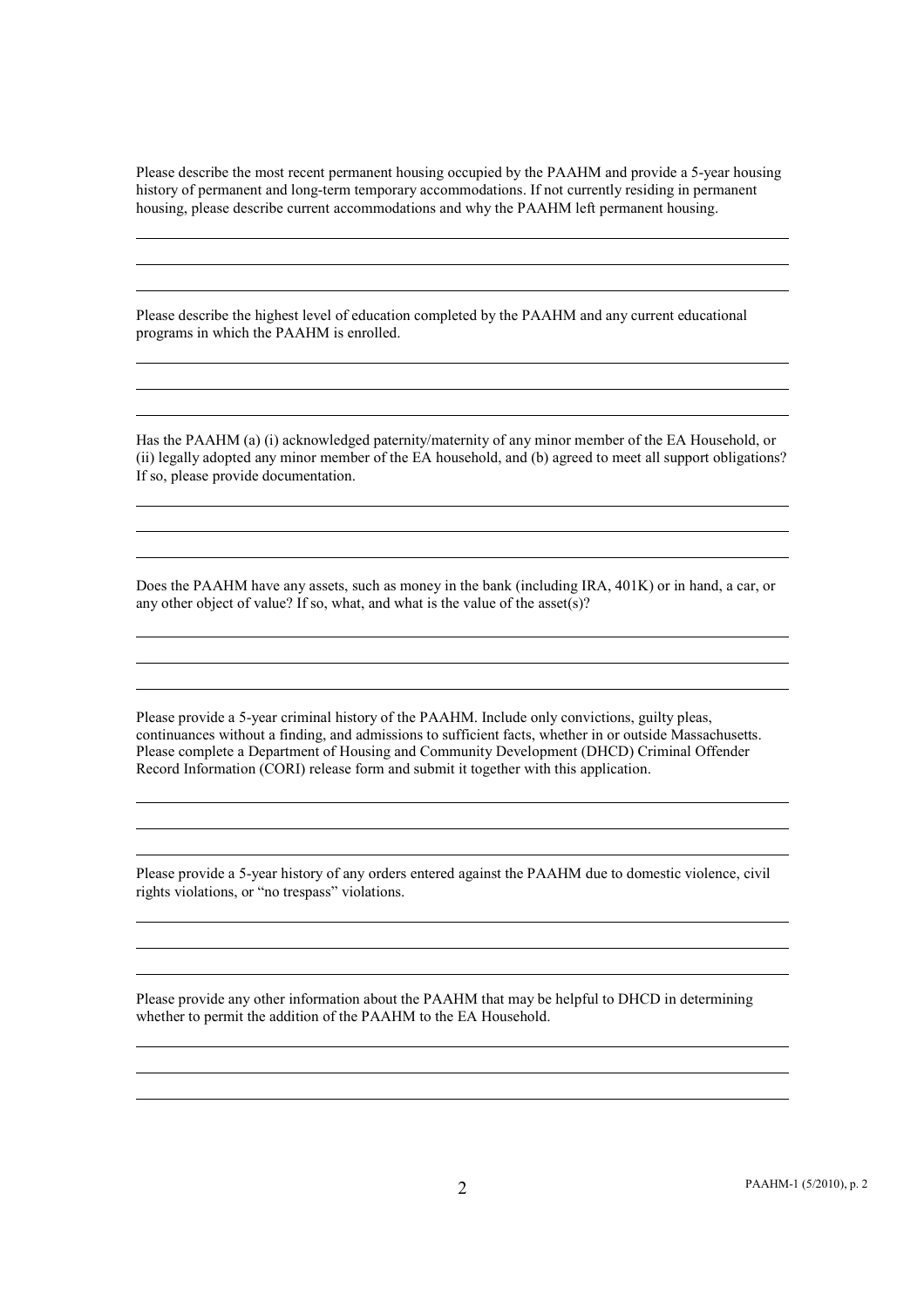Please describe the most recent permanent housing occupied by the PAAHM and provide a 5-year housing history of permanent and long-term temporary accommodations. If not currently residing in permanent housing, please describe current accommodations and why the PAAHM left permanent housing.

Please describe the highest level of education completed by the PAAHM and any current educational programs in which the PAAHM is enrolled.

Has the PAAHM (a) (i) acknowledged paternity/maternity of any minor member of the EA Household, or (ii) legally adopted any minor member of the EA household, and (b) agreed to meet all support obligations? If so, please provide documentation.

Does the PAAHM have any assets, such as money in the bank (including IRA, 401K) or in hand, a car, or any other object of value? If so, what, and what is the value of the asset(s)?

Please provide a 5-year criminal history of the PAAHM. Include only convictions, guilty pleas, continuances without a finding, and admissions to sufficient facts, whether in or outside Massachusetts. Please complete a Department of Housing and Community Development (DHCD) Criminal Offender Record Information (CORI) release form and submit it together with this application.

Please provide a 5-year history of any orders entered against the PAAHM due to domestic violence, civil rights violations, or "no trespass" violations.

Please provide any other information about the PAAHM that may be helpful to DHCD in determining whether to permit the addition of the PAAHM to the EA Household.